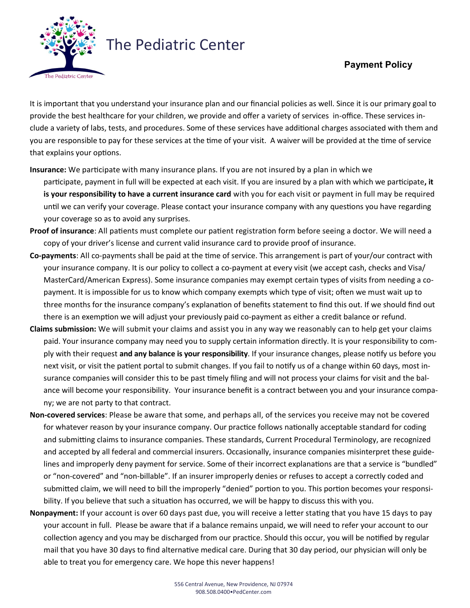

your coverage so as to avoid any surprises.

## The Pediatric Center

## **Payment Policy**

It is important that you understand your insurance plan and our financial policies as well. Since it is our primary goal to provide the best healthcare for your children, we provide and offer a variety of services in-office. These services include a variety of labs, tests, and procedures. Some of these services have additional charges associated with them and you are responsible to pay for these services at the time of your visit. A waiver will be provided at the time of service that explains your options.

- **Insurance:** We participate with many insurance plans. If you are not insured by a plan in which we participate, payment in full will be expected at each visit. If you are insured by a plan with which we participate**, it is your responsibility to have a current insurance card** with you for each visit or payment in full may be required until we can verify your coverage. Please contact your insurance company with any questions you have regarding
- **Proof of insurance**: All patients must complete our patient registration form before seeing a doctor. We will need a copy of your driver's license and current valid insurance card to provide proof of insurance.
- **Co-payments**: All co-payments shall be paid at the time of service. This arrangement is part of your/our contract with your insurance company. It is our policy to collect a co-payment at every visit (we accept cash, checks and Visa/ MasterCard/American Express). Some insurance companies may exempt certain types of visits from needing a copayment. It is impossible for us to know which company exempts which type of visit; often we must wait up to three months for the insurance company's explanation of benefits statement to find this out. If we should find out there is an exemption we will adjust your previously paid co-payment as either a credit balance or refund.
- **Claims submission:** We will submit your claims and assist you in any way we reasonably can to help get your claims paid. Your insurance company may need you to supply certain information directly. It is your responsibility to comply with their request **and any balance is your responsibility**. If your insurance changes, please notify us before you next visit, or visit the patient portal to submit changes. If you fail to notify us of a change within 60 days, most insurance companies will consider this to be past timely filing and will not process your claims for visit and the balance will become your responsibility. Your insurance benefit is a contract between you and your insurance company; we are not party to that contract.
- **Non-covered services**: Please be aware that some, and perhaps all, of the services you receive may not be covered for whatever reason by your insurance company. Our practice follows nationally acceptable standard for coding and submitting claims to insurance companies. These standards, Current Procedural Terminology, are recognized and accepted by all federal and commercial insurers. Occasionally, insurance companies misinterpret these guidelines and improperly deny payment for service. Some of their incorrect explanations are that a service is "bundled" or "non-covered" and "non-billable". If an insurer improperly denies or refuses to accept a correctly coded and submitted claim, we will need to bill the improperly "denied" portion to you. This portion becomes your responsibility. If you believe that such a situation has occurred, we will be happy to discuss this with you.
- **Nonpayment:** If your account is over 60 days past due, you will receive a letter stating that you have 15 days to pay your account in full. Please be aware that if a balance remains unpaid, we will need to refer your account to our collection agency and you may be discharged from our practice. Should this occur, you will be notified by regular mail that you have 30 days to find alternative medical care. During that 30 day period, our physician will only be able to treat you for emergency care. We hope this never happens!